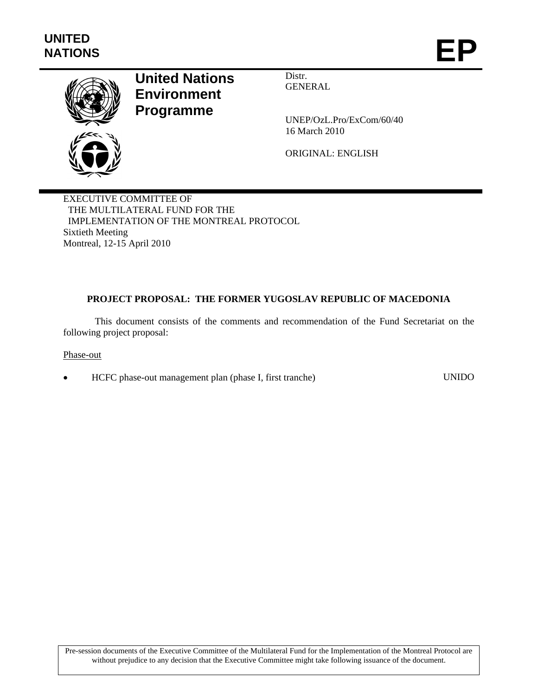

# **United Nations Environment Programme**

Distr. GENERAL

UNEP/OzL.Pro/ExCom/60/40 16 March 2010

ORIGINAL: ENGLISH

EXECUTIVE COMMITTEE OF THE MULTILATERAL FUND FOR THE IMPLEMENTATION OF THE MONTREAL PROTOCOL Sixtieth Meeting Montreal, 12-15 April 2010

# **PROJECT PROPOSAL: THE FORMER YUGOSLAV REPUBLIC OF MACEDONIA**

This document consists of the comments and recommendation of the Fund Secretariat on the following project proposal:

Phase-out

HCFC phase-out management plan (phase I, first tranche) UNIDO

Pre-session documents of the Executive Committee of the Multilateral Fund for the Implementation of the Montreal Protocol are without prejudice to any decision that the Executive Committee might take following issuance of the document.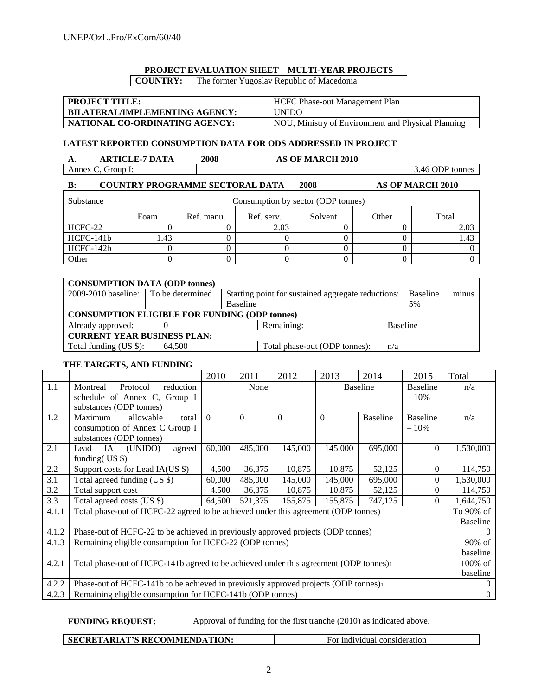# **PROJECT EVALUATION SHEET – MULTI-YEAR PROJECTS**

**COUNTRY:** The former Yugoslav Republic of Macedonia

| <b>PROJECT TITLE:</b>          | HCFC Phase-out Management Plan                     |
|--------------------------------|----------------------------------------------------|
| BILATERAL/IMPLEMENTING AGENCY: | <b>UNIDO</b>                                       |
| NATIONAL CO-ORDINATING AGENCY: | NOU, Ministry of Environment and Physical Planning |

#### **LATEST REPORTED CONSUMPTION DATA FOR ODS ADDRESSED IN PROJECT**

**A. ARTICLE-7 DATA 2008 AS OF MARCH 2010**

Annex C, Group I: 3.46 ODP tonnes

# **B: COUNTRY PROGRAMME SECTORAL DATA 2008 AS OF MARCH 2010**

| Substance | Consumption by sector (ODP tonnes) |                                              |      |  |  |      |  |  |  |
|-----------|------------------------------------|----------------------------------------------|------|--|--|------|--|--|--|
|           | Foam                               | Solvent<br>Other<br>Ref. manu.<br>Ref. serv. |      |  |  |      |  |  |  |
| HCFC-22   |                                    |                                              | 2.03 |  |  | 2.03 |  |  |  |
| HCFC-141b | l.43                               |                                              |      |  |  | 1.43 |  |  |  |
| HCFC-142b |                                    |                                              |      |  |  |      |  |  |  |
| Other     |                                    |                                              |      |  |  |      |  |  |  |

| <b>CONSUMPTION DATA (ODP tonnes)</b> |                                                      |                 |                                                    |                 |                 |       |  |  |  |
|--------------------------------------|------------------------------------------------------|-----------------|----------------------------------------------------|-----------------|-----------------|-------|--|--|--|
| 2009-2010 baseline: To be determined |                                                      |                 | Starting point for sustained aggregate reductions: |                 | <b>Baseline</b> | minus |  |  |  |
|                                      |                                                      | <b>Baseline</b> |                                                    |                 | 5%              |       |  |  |  |
|                                      | <b>CONSUMPTION ELIGIBLE FOR FUNDING (ODP tonnes)</b> |                 |                                                    |                 |                 |       |  |  |  |
| Already approved:                    |                                                      |                 | Remaining:                                         | <b>Baseline</b> |                 |       |  |  |  |
| <b>CURRENT YEAR BUSINESS PLAN:</b>   |                                                      |                 |                                                    |                 |                 |       |  |  |  |
| Total funding (US \$):               | 64.500                                               |                 | Total phase-out (ODP tonnes):                      | n/a             |                 |       |  |  |  |

#### **THE TARGETS, AND FUNDING**

|       |                                                                                                 | 2010     | 2011     | 2012     | 2013     | 2014            | 2015           | Total           |
|-------|-------------------------------------------------------------------------------------------------|----------|----------|----------|----------|-----------------|----------------|-----------------|
| 1.1   | Protocol<br>reduction<br>Montreal                                                               |          | None     |          |          | <b>Baseline</b> |                | n/a             |
|       | schedule of Annex C, Group I<br>substances (ODP tonnes)                                         |          |          |          |          |                 | $-10%$         |                 |
| 1.2   | Maximum<br>allowable<br>total                                                                   | $\Omega$ | $\Omega$ | $\Omega$ | $\Omega$ | <b>Baseline</b> | Baseline       | n/a             |
|       | consumption of Annex C Group I<br>substances (ODP tonnes)                                       |          |          |          |          |                 | $-10%$         |                 |
| 2.1   | IA (UNIDO)<br>agreed<br>Lead<br>funding $(US \$                                                 | 60,000   | 485,000  | 145,000  | 145,000  | 695,000         | $\overline{0}$ | 1,530,000       |
| 2.2   | Support costs for Lead IA(US \$)                                                                | 4,500    | 36,375   | 10,875   | 10,875   | 52,125          | 0              | 114,750         |
| 3.1   | Total agreed funding (US \$)                                                                    | 60,000   | 485,000  | 145,000  | 145,000  | 695,000         | 0              | 1,530,000       |
| 3.2   | Total support cost                                                                              | 4.500    | 36,375   | 10,875   | 10,875   | 52,125          | 0              | 114,750         |
| 3.3   | Total agreed costs (US \$)                                                                      | 64,500   | 521,375  | 155,875  | 155,875  | 747,125         | 0              | 1,644,750       |
| 4.1.1 | Total phase-out of HCFC-22 agreed to be achieved under this agreement (ODP tonnes)              |          |          |          |          |                 |                | To 90% of       |
|       |                                                                                                 |          |          |          |          |                 |                | <b>Baseline</b> |
| 4.1.2 | Phase-out of HCFC-22 to be achieved in previously approved projects (ODP tonnes)                |          |          |          |          |                 |                | $\Omega$        |
| 4.1.3 | Remaining eligible consumption for HCFC-22 (ODP tonnes)                                         |          |          |          |          |                 |                | 90% of          |
|       |                                                                                                 |          |          |          |          |                 |                | baseline        |
| 4.2.1 | Total phase-out of HCFC-141b agreed to be achieved under this agreement (ODP tonnes)            |          |          |          |          |                 |                |                 |
|       |                                                                                                 |          |          |          |          |                 |                |                 |
| 4.2.2 | Phase-out of HCFC-141b to be achieved in previously approved projects (ODP tonnes) <sup>1</sup> |          |          |          |          |                 |                |                 |
| 4.2.3 | Remaining eligible consumption for HCFC-141b (ODP tonnes)                                       |          |          |          |          |                 |                | $\theta$        |

**FUNDING REQUEST:** Approval of funding for the first tranche (2010) as indicated above.

| <b>SECRETARIAT'S RECOMMENDATION:</b><br>For individual consideration |
|----------------------------------------------------------------------|
|----------------------------------------------------------------------|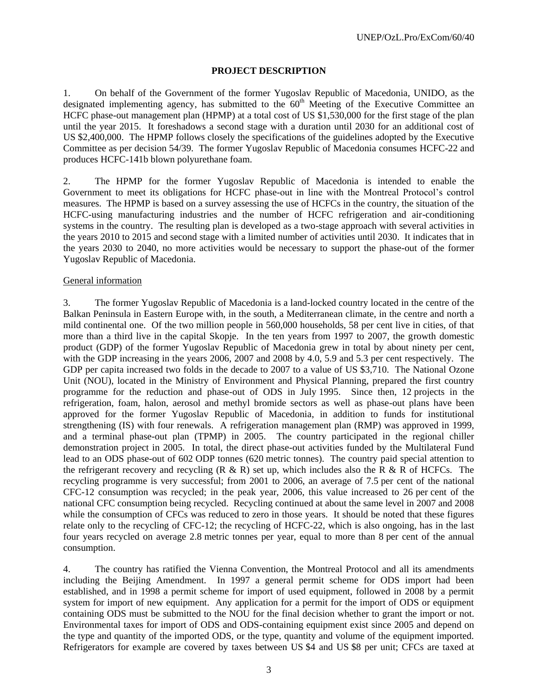## **PROJECT DESCRIPTION**

1. On behalf of the Government of the former Yugoslav Republic of Macedonia, UNIDO, as the designated implementing agency, has submitted to the  $60<sup>th</sup>$  Meeting of the Executive Committee an HCFC phase-out management plan (HPMP) at a total cost of US \$1,530,000 for the first stage of the plan until the year 2015. It foreshadows a second stage with a duration until 2030 for an additional cost of US \$2,400,000. The HPMP follows closely the specifications of the guidelines adopted by the Executive Committee as per decision 54/39. The former Yugoslav Republic of Macedonia consumes HCFC-22 and produces HCFC-141b blown polyurethane foam.

2. The HPMP for the former Yugoslav Republic of Macedonia is intended to enable the Government to meet its obligations for HCFC phase-out in line with the Montreal Protocol's control measures. The HPMP is based on a survey assessing the use of HCFCs in the country, the situation of the HCFC-using manufacturing industries and the number of HCFC refrigeration and air-conditioning systems in the country. The resulting plan is developed as a two-stage approach with several activities in the years 2010 to 2015 and second stage with a limited number of activities until 2030. It indicates that in the years 2030 to 2040, no more activities would be necessary to support the phase-out of the former Yugoslav Republic of Macedonia.

#### General information

3. The former Yugoslav Republic of Macedonia is a land-locked country located in the centre of the Balkan Peninsula in Eastern Europe with, in the south, a Mediterranean climate, in the centre and north a mild continental one. Of the two million people in 560,000 households, 58 per cent live in cities, of that more than a third live in the capital Skopje. In the ten years from 1997 to 2007, the growth domestic product (GDP) of the former Yugoslav Republic of Macedonia grew in total by about ninety per cent, with the GDP increasing in the years 2006, 2007 and 2008 by 4.0, 5.9 and 5.3 per cent respectively. The GDP per capita increased two folds in the decade to 2007 to a value of US \$3,710. The National Ozone Unit (NOU), located in the Ministry of Environment and Physical Planning, prepared the first country programme for the reduction and phase-out of ODS in July 1995. Since then, 12 projects in the refrigeration, foam, halon, aerosol and methyl bromide sectors as well as phase-out plans have been approved for the former Yugoslav Republic of Macedonia, in addition to funds for institutional strengthening (IS) with four renewals. A refrigeration management plan (RMP) was approved in 1999, and a terminal phase-out plan (TPMP) in 2005. The country participated in the regional chiller demonstration project in 2005. In total, the direct phase-out activities funded by the Multilateral Fund lead to an ODS phase-out of 602 ODP tonnes (620 metric tonnes). The country paid special attention to the refrigerant recovery and recycling  $(R \& R)$  set up, which includes also the R  $\& R$  of HCFCs. The recycling programme is very successful; from 2001 to 2006, an average of 7.5 per cent of the national CFC-12 consumption was recycled; in the peak year, 2006, this value increased to 26 per cent of the national CFC consumption being recycled. Recycling continued at about the same level in 2007 and 2008 while the consumption of CFCs was reduced to zero in those years. It should be noted that these figures relate only to the recycling of CFC-12; the recycling of HCFC-22, which is also ongoing, has in the last four years recycled on average 2.8 metric tonnes per year, equal to more than 8 per cent of the annual consumption.

4. The country has ratified the Vienna Convention, the Montreal Protocol and all its amendments including the Beijing Amendment. In 1997 a general permit scheme for ODS import had been established, and in 1998 a permit scheme for import of used equipment, followed in 2008 by a permit system for import of new equipment. Any application for a permit for the import of ODS or equipment containing ODS must be submitted to the NOU for the final decision whether to grant the import or not. Environmental taxes for import of ODS and ODS-containing equipment exist since 2005 and depend on the type and quantity of the imported ODS, or the type, quantity and volume of the equipment imported. Refrigerators for example are covered by taxes between US \$4 and US \$8 per unit; CFCs are taxed at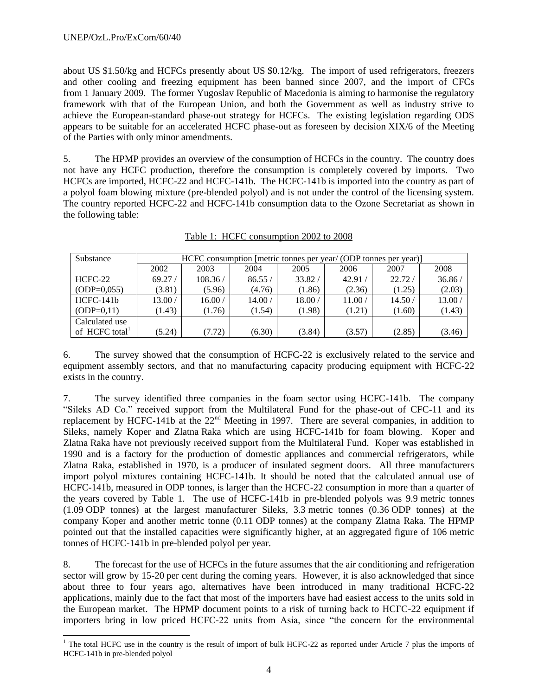about US \$1.50/kg and HCFCs presently about US \$0.12/kg. The import of used refrigerators, freezers and other cooling and freezing equipment has been banned since 2007, and the import of CFCs from 1 January 2009. The former Yugoslav Republic of Macedonia is aiming to harmonise the regulatory framework with that of the European Union, and both the Government as well as industry strive to achieve the European-standard phase-out strategy for HCFCs. The existing legislation regarding ODS appears to be suitable for an accelerated HCFC phase-out as foreseen by decision XIX/6 of the Meeting of the Parties with only minor amendments.

5. The HPMP provides an overview of the consumption of HCFCs in the country. The country does not have any HCFC production, therefore the consumption is completely covered by imports. Two HCFCs are imported, HCFC-22 and HCFC-141b. The HCFC-141b is imported into the country as part of a polyol foam blowing mixture (pre-blended polyol) and is not under the control of the licensing system. The country reported HCFC-22 and HCFC-141b consumption data to the Ozone Secretariat as shown in the following table:

| Substance      |         | HCFC consumption [metric tonnes per year/ (ODP tonnes per year)] |        |         |         |        |         |  |  |
|----------------|---------|------------------------------------------------------------------|--------|---------|---------|--------|---------|--|--|
|                | 2002    | 2003                                                             | 2004   | 2005    | 2006    | 2007   | 2008    |  |  |
| HCFC-22        | 69.27/  | 108.36/                                                          | 86.55/ | 33.82/  | 42.91   | 22.72/ | 36.86/  |  |  |
| $ODP=0,055$    | (3.81)  | (5.96)                                                           | (4.76) | (1.86)  | (2.36)  | (1.25) | (2.03)  |  |  |
| $HCFC-141b$    | 13.00 / | 16.00 /                                                          | 14.00/ | 18.00 / | 11.00 / | 14.50/ | 13.00 / |  |  |
| $(ODP=0,11)$   | (1.43)  | (1.76)                                                           | (1.54) | (1.98)  | (1.21)  | (1.60) | (1.43)  |  |  |
| Calculated use |         |                                                                  |        |         |         |        |         |  |  |
| of HCFC total  | (5.24)  | (7.72)                                                           | (6.30) | (3.84)  | (3.57)  | (2.85) | (3.46)  |  |  |

Table 1: HCFC consumption 2002 to 2008

6. The survey showed that the consumption of HCFC-22 is exclusively related to the service and equipment assembly sectors, and that no manufacturing capacity producing equipment with HCFC-22 exists in the country.

7. The survey identified three companies in the foam sector using HCFC-141b. The company "Sileks AD Co." received support from the Multilateral Fund for the phase-out of CFC-11 and its replacement by HCFC-141b at the 22<sup>nd</sup> Meeting in 1997. There are several companies, in addition to Sileks, namely Koper and Zlatna Raka which are using HCFC-141b for foam blowing. Koper and Zlatna Raka have not previously received support from the Multilateral Fund. Koper was established in 1990 and is a factory for the production of domestic appliances and commercial refrigerators, while Zlatna Raka, established in 1970, is a producer of insulated segment doors. All three manufacturers import polyol mixtures containing HCFC-141b. It should be noted that the calculated annual use of HCFC-141b, measured in ODP tonnes, is larger than the HCFC-22 consumption in more than a quarter of the years covered by Table 1. The use of HCFC-141b in pre-blended polyols was 9.9 metric tonnes (1.09 ODP tonnes) at the largest manufacturer Sileks, 3.3 metric tonnes (0.36 ODP tonnes) at the company Koper and another metric tonne (0.11 ODP tonnes) at the company Zlatna Raka. The HPMP pointed out that the installed capacities were significantly higher, at an aggregated figure of 106 metric tonnes of HCFC-141b in pre-blended polyol per year.

8. The forecast for the use of HCFCs in the future assumes that the air conditioning and refrigeration sector will grow by 15-20 per cent during the coming years. However, it is also acknowledged that since about three to four years ago, alternatives have been introduced in many traditional HCFC-22 applications, mainly due to the fact that most of the importers have had easiest access to the units sold in the European market. The HPMP document points to a risk of turning back to HCFC-22 equipment if importers bring in low priced HCFC-22 units from Asia, since "the concern for the environmental

l  $1$  The total HCFC use in the country is the result of import of bulk HCFC-22 as reported under Article 7 plus the imports of HCFC-141b in pre-blended polyol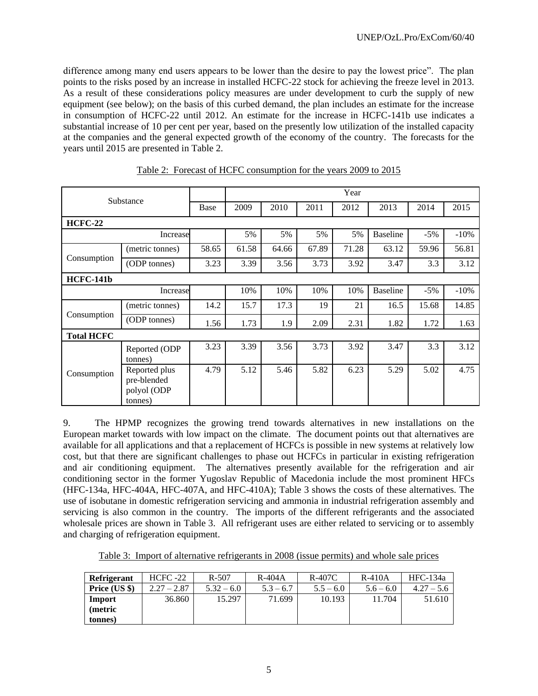difference among many end users appears to be lower than the desire to pay the lowest price". The plan points to the risks posed by an increase in installed HCFC-22 stock for achieving the freeze level in 2013. As a result of these considerations policy measures are under development to curb the supply of new equipment (see below); on the basis of this curbed demand, the plan includes an estimate for the increase in consumption of HCFC-22 until 2012. An estimate for the increase in HCFC-141b use indicates a substantial increase of 10 per cent per year, based on the presently low utilization of the installed capacity at the companies and the general expected growth of the economy of the country. The forecasts for the years until 2015 are presented in Table 2.

| Substance         |                                                        |       |       |       |       | Year  |                 |        |        |
|-------------------|--------------------------------------------------------|-------|-------|-------|-------|-------|-----------------|--------|--------|
|                   |                                                        | Base  | 2009  | 2010  | 2011  | 2012  | 2013            | 2014   | 2015   |
| <b>HCFC-22</b>    |                                                        |       |       |       |       |       |                 |        |        |
|                   | Increase                                               |       | 5%    | 5%    | 5%    | 5%    | <b>Baseline</b> | $-5%$  | $-10%$ |
|                   | (metric tonnes)                                        | 58.65 | 61.58 | 64.66 | 67.89 | 71.28 | 63.12           | 59.96  | 56.81  |
| Consumption       | (ODP tonnes)                                           | 3.23  | 3.39  | 3.56  | 3.73  | 3.92  | 3.47            | 3.3    | 3.12   |
| <b>HCFC-141b</b>  |                                                        |       |       |       |       |       |                 |        |        |
|                   | Increase                                               |       | 10%   | 10%   | 10%   | 10%   | <b>Baseline</b> | $-5\%$ | $-10%$ |
|                   | (metric tonnes)                                        | 14.2  | 15.7  | 17.3  | 19    | 21    | 16.5            | 15.68  | 14.85  |
| Consumption       | (ODP tonnes)                                           | 1.56  | 1.73  | 1.9   | 2.09  | 2.31  | 1.82            | 1.72   | 1.63   |
| <b>Total HCFC</b> |                                                        |       |       |       |       |       |                 |        |        |
|                   | Reported (ODP<br>tonnes)                               | 3.23  | 3.39  | 3.56  | 3.73  | 3.92  | 3.47            | 3.3    | 3.12   |
| Consumption       | Reported plus<br>pre-blended<br>polyol (ODP<br>tonnes) | 4.79  | 5.12  | 5.46  | 5.82  | 6.23  | 5.29            | 5.02   | 4.75   |

Table 2: Forecast of HCFC consumption for the years 2009 to 2015

9. The HPMP recognizes the growing trend towards alternatives in new installations on the European market towards with low impact on the climate. The document points out that alternatives are available for all applications and that a replacement of HCFCs is possible in new systems at relatively low cost, but that there are significant challenges to phase out HCFCs in particular in existing refrigeration and air conditioning equipment. The alternatives presently available for the refrigeration and air conditioning sector in the former Yugoslav Republic of Macedonia include the most prominent HFCs (HFC-134a, HFC-404A, HFC-407A, and HFC-410A); Table 3 shows the costs of these alternatives. The use of isobutane in domestic refrigeration servicing and ammonia in industrial refrigeration assembly and servicing is also common in the country. The imports of the different refrigerants and the associated wholesale prices are shown in Table 3. All refrigerant uses are either related to servicing or to assembly and charging of refrigeration equipment.

Table 3: Import of alternative refrigerants in 2008 (issue permits) and whole sale prices

| <b>Refrigerant</b> | $H$ CFC -22   | $R - 507$    | $R-404A$    | $R-407C$    | $R-410A$    | <b>HFC-134a</b> |
|--------------------|---------------|--------------|-------------|-------------|-------------|-----------------|
| Price (US \$)      | $2.27 - 2.87$ | $5.32 - 6.0$ | $5.3 - 6.7$ | $5.5 - 6.0$ | $5.6 - 6.0$ | $4.27 - 5.6$    |
| Import             | 36.860        | 15.297       | 71.699      | 10.193      | 11.704      | 51.610          |
| <i>(metric)</i>    |               |              |             |             |             |                 |
| tonnes)            |               |              |             |             |             |                 |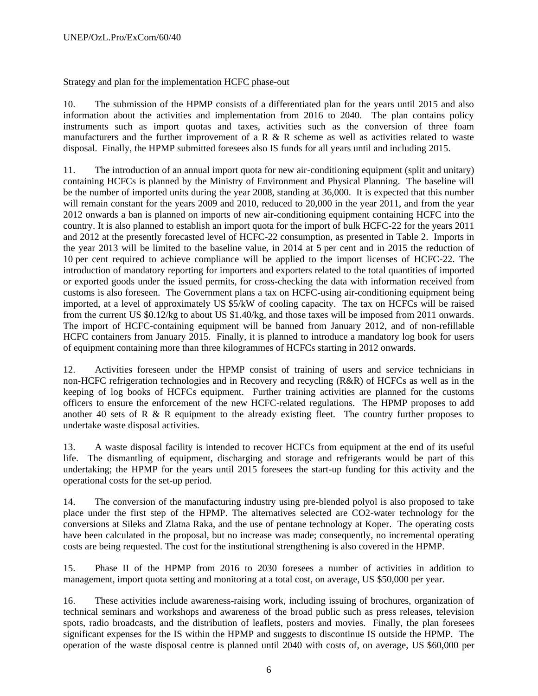## Strategy and plan for the implementation HCFC phase-out

10. The submission of the HPMP consists of a differentiated plan for the years until 2015 and also information about the activities and implementation from 2016 to 2040. The plan contains policy instruments such as import quotas and taxes, activities such as the conversion of three foam manufacturers and the further improvement of a R  $\&$  R scheme as well as activities related to waste disposal. Finally, the HPMP submitted foresees also IS funds for all years until and including 2015.

11. The introduction of an annual import quota for new air-conditioning equipment (split and unitary) containing HCFCs is planned by the Ministry of Environment and Physical Planning. The baseline will be the number of imported units during the year 2008, standing at 36,000. It is expected that this number will remain constant for the years 2009 and 2010, reduced to 20,000 in the year 2011, and from the year 2012 onwards a ban is planned on imports of new air-conditioning equipment containing HCFC into the country. It is also planned to establish an import quota for the import of bulk HCFC-22 for the years 2011 and 2012 at the presently forecasted level of HCFC-22 consumption, as presented in Table 2. Imports in the year 2013 will be limited to the baseline value, in 2014 at 5 per cent and in 2015 the reduction of 10 per cent required to achieve compliance will be applied to the import licenses of HCFC-22. The introduction of mandatory reporting for importers and exporters related to the total quantities of imported or exported goods under the issued permits, for cross-checking the data with information received from customs is also foreseen. The Government plans a tax on HCFC-using air-conditioning equipment being imported, at a level of approximately US \$5/kW of cooling capacity. The tax on HCFCs will be raised from the current US \$0.12/kg to about US \$1.40/kg, and those taxes will be imposed from 2011 onwards. The import of HCFC-containing equipment will be banned from January 2012, and of non-refillable HCFC containers from January 2015. Finally, it is planned to introduce a mandatory log book for users of equipment containing more than three kilogrammes of HCFCs starting in 2012 onwards.

12. Activities foreseen under the HPMP consist of training of users and service technicians in non-HCFC refrigeration technologies and in Recovery and recycling (R&R) of HCFCs as well as in the keeping of log books of HCFCs equipment. Further training activities are planned for the customs officers to ensure the enforcement of the new HCFC-related regulations. The HPMP proposes to add another 40 sets of R  $\&$  R equipment to the already existing fleet. The country further proposes to undertake waste disposal activities.

13. A waste disposal facility is intended to recover HCFCs from equipment at the end of its useful life. The dismantling of equipment, discharging and storage and refrigerants would be part of this undertaking; the HPMP for the years until 2015 foresees the start-up funding for this activity and the operational costs for the set-up period.

14. The conversion of the manufacturing industry using pre-blended polyol is also proposed to take place under the first step of the HPMP. The alternatives selected are CO2-water technology for the conversions at Sileks and Zlatna Raka, and the use of pentane technology at Koper. The operating costs have been calculated in the proposal, but no increase was made; consequently, no incremental operating costs are being requested. The cost for the institutional strengthening is also covered in the HPMP.

15. Phase II of the HPMP from 2016 to 2030 foresees a number of activities in addition to management, import quota setting and monitoring at a total cost, on average, US \$50,000 per year.

16. These activities include awareness-raising work, including issuing of brochures, organization of technical seminars and workshops and awareness of the broad public such as press releases, television spots, radio broadcasts, and the distribution of leaflets, posters and movies. Finally, the plan foresees significant expenses for the IS within the HPMP and suggests to discontinue IS outside the HPMP. The operation of the waste disposal centre is planned until 2040 with costs of, on average, US \$60,000 per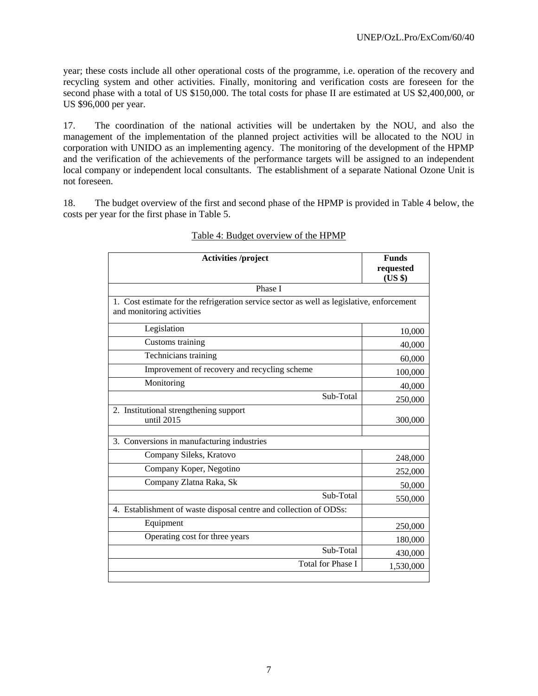year; these costs include all other operational costs of the programme, i.e. operation of the recovery and recycling system and other activities. Finally, monitoring and verification costs are foreseen for the second phase with a total of US \$150,000. The total costs for phase II are estimated at US \$2,400,000, or US \$96,000 per year.

17. The coordination of the national activities will be undertaken by the NOU, and also the management of the implementation of the planned project activities will be allocated to the NOU in corporation with UNIDO as an implementing agency. The monitoring of the development of the HPMP and the verification of the achievements of the performance targets will be assigned to an independent local company or independent local consultants. The establishment of a separate National Ozone Unit is not foreseen.

18. The budget overview of the first and second phase of the HPMP is provided in Table 4 below, the costs per year for the first phase in Table 5.

| <b>Activities /project</b>                                                                                             | <b>Funds</b><br>requested<br>(US \$) |
|------------------------------------------------------------------------------------------------------------------------|--------------------------------------|
| Phase I                                                                                                                |                                      |
| 1. Cost estimate for the refrigeration service sector as well as legislative, enforcement<br>and monitoring activities |                                      |
| Legislation                                                                                                            | 10,000                               |
| Customs training                                                                                                       | 40,000                               |
| Technicians training                                                                                                   | 60,000                               |
| Improvement of recovery and recycling scheme                                                                           | 100,000                              |
| Monitoring                                                                                                             | 40,000                               |
| Sub-Total                                                                                                              | 250,000                              |
| 2. Institutional strengthening support<br>until 2015                                                                   | 300,000                              |
| 3. Conversions in manufacturing industries                                                                             |                                      |
| Company Sileks, Kratovo                                                                                                | 248,000                              |
| Company Koper, Negotino                                                                                                | 252,000                              |
| Company Zlatna Raka, Sk                                                                                                | 50,000                               |
| Sub-Total                                                                                                              | 550,000                              |
| 4. Establishment of waste disposal centre and collection of ODSs:                                                      |                                      |
| Equipment                                                                                                              | 250,000                              |
| Operating cost for three years                                                                                         | 180,000                              |
| Sub-Total                                                                                                              | 430,000                              |
| <b>Total for Phase I</b>                                                                                               | 1,530,000                            |

## Table 4: Budget overview of the HPMP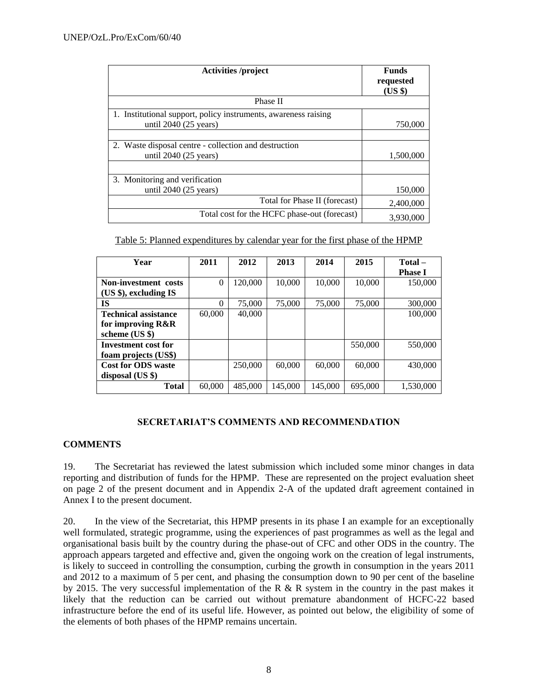| <b>Activities</b> /project                                                                        | <b>Funds</b><br>requested<br>$(US \$ |
|---------------------------------------------------------------------------------------------------|--------------------------------------|
| Phase II                                                                                          |                                      |
| 1. Institutional support, policy instruments, awareness raising<br>until $2040(25 \text{ years})$ | 750,000                              |
| 2. Waste disposal centre - collection and destruction<br>until $2040(25 \text{ years})$           | 1,500,000                            |
| 3. Monitoring and verification<br>until $2040(25 \text{ years})$                                  | 150,000                              |
| Total for Phase II (forecast)                                                                     | 2,400,000                            |
| Total cost for the HCFC phase-out (forecast)                                                      | 3.930,000                            |

| Table 5: Planned expenditures by calendar year for the first phase of the HPMP |  |  |  |
|--------------------------------------------------------------------------------|--|--|--|
|                                                                                |  |  |  |

| Year                        | 2011   | 2012    | 2013    | 2014    | 2015    | Total-<br><b>Phase I</b> |
|-----------------------------|--------|---------|---------|---------|---------|--------------------------|
| Non-investment costs        | 0      | 120,000 | 10,000  | 10,000  | 10,000  | 150,000                  |
| $(US \$ ), excluding IS     |        |         |         |         |         |                          |
| IS                          | 0      | 75,000  | 75,000  | 75,000  | 75,000  | 300,000                  |
| <b>Technical assistance</b> | 60,000 | 40,000  |         |         |         | 100,000                  |
| for improving R&R           |        |         |         |         |         |                          |
| scheme $(US \$              |        |         |         |         |         |                          |
| <b>Investment cost for</b>  |        |         |         |         | 550,000 | 550,000                  |
| foam projects (US\$)        |        |         |         |         |         |                          |
| <b>Cost for ODS waste</b>   |        | 250,000 | 60,000  | 60,000  | 60,000  | 430,000                  |
| disposal (US \$)            |        |         |         |         |         |                          |
| <b>Total</b>                | 60,000 | 485,000 | 145,000 | 145,000 | 695,000 | 1,530,000                |

## **SECRETARIAT'S COMMENTS AND RECOMMENDATION**

## **COMMENTS**

19. The Secretariat has reviewed the latest submission which included some minor changes in data reporting and distribution of funds for the HPMP. These are represented on the project evaluation sheet on page 2 of the present document and in Appendix 2-A of the updated draft agreement contained in Annex I to the present document.

20. In the view of the Secretariat, this HPMP presents in its phase I an example for an exceptionally well formulated, strategic programme, using the experiences of past programmes as well as the legal and organisational basis built by the country during the phase-out of CFC and other ODS in the country. The approach appears targeted and effective and, given the ongoing work on the creation of legal instruments, is likely to succeed in controlling the consumption, curbing the growth in consumption in the years 2011 and 2012 to a maximum of 5 per cent, and phasing the consumption down to 90 per cent of the baseline by 2015. The very successful implementation of the R & R system in the country in the past makes it likely that the reduction can be carried out without premature abandonment of HCFC-22 based infrastructure before the end of its useful life. However, as pointed out below, the eligibility of some of the elements of both phases of the HPMP remains uncertain.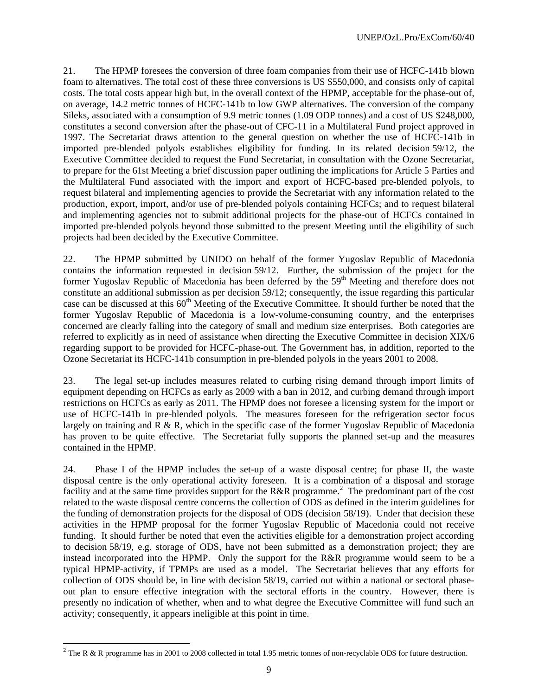21. The HPMP foresees the conversion of three foam companies from their use of HCFC-141b blown foam to alternatives. The total cost of these three conversions is US \$550,000, and consists only of capital costs. The total costs appear high but, in the overall context of the HPMP, acceptable for the phase-out of, on average, 14.2 metric tonnes of HCFC-141b to low GWP alternatives. The conversion of the company Sileks, associated with a consumption of 9.9 metric tonnes (1.09 ODP tonnes) and a cost of US \$248,000, constitutes a second conversion after the phase-out of CFC-11 in a Multilateral Fund project approved in 1997. The Secretariat draws attention to the general question on whether the use of HCFC-141b in imported pre-blended polyols establishes eligibility for funding. In its related decision 59/12, the Executive Committee decided to request the Fund Secretariat, in consultation with the Ozone Secretariat, to prepare for the 61st Meeting a brief discussion paper outlining the implications for Article 5 Parties and the Multilateral Fund associated with the import and export of HCFC-based pre-blended polyols, to request bilateral and implementing agencies to provide the Secretariat with any information related to the production, export, import, and/or use of pre-blended polyols containing HCFCs; and to request bilateral and implementing agencies not to submit additional projects for the phase-out of HCFCs contained in imported pre-blended polyols beyond those submitted to the present Meeting until the eligibility of such projects had been decided by the Executive Committee.

22. The HPMP submitted by UNIDO on behalf of the former Yugoslav Republic of Macedonia contains the information requested in decision 59/12. Further, the submission of the project for the former Yugoslav Republic of Macedonia has been deferred by the 59<sup>th</sup> Meeting and therefore does not constitute an additional submission as per decision 59/12; consequently, the issue regarding this particular case can be discussed at this  $60<sup>th</sup>$  Meeting of the Executive Committee. It should further be noted that the former Yugoslav Republic of Macedonia is a low-volume-consuming country, and the enterprises concerned are clearly falling into the category of small and medium size enterprises. Both categories are referred to explicitly as in need of assistance when directing the Executive Committee in decision XIX/6 regarding support to be provided for HCFC-phase-out. The Government has, in addition, reported to the Ozone Secretariat its HCFC-141b consumption in pre-blended polyols in the years 2001 to 2008.

23. The legal set-up includes measures related to curbing rising demand through import limits of equipment depending on HCFCs as early as 2009 with a ban in 2012, and curbing demand through import restrictions on HCFCs as early as 2011. The HPMP does not foresee a licensing system for the import or use of HCFC-141b in pre-blended polyols. The measures foreseen for the refrigeration sector focus largely on training and R & R, which in the specific case of the former Yugoslav Republic of Macedonia has proven to be quite effective. The Secretariat fully supports the planned set-up and the measures contained in the HPMP.

24. Phase I of the HPMP includes the set-up of a waste disposal centre; for phase II, the waste disposal centre is the only operational activity foreseen. It is a combination of a disposal and storage facility and at the same time provides support for the R&R programme.<sup>2</sup> The predominant part of the cost related to the waste disposal centre concerns the collection of ODS as defined in the interim guidelines for the funding of demonstration projects for the disposal of ODS (decision 58/19). Under that decision these activities in the HPMP proposal for the former Yugoslav Republic of Macedonia could not receive funding. It should further be noted that even the activities eligible for a demonstration project according to decision 58/19, e.g. storage of ODS, have not been submitted as a demonstration project; they are instead incorporated into the HPMP. Only the support for the R&R programme would seem to be a typical HPMP-activity, if TPMPs are used as a model. The Secretariat believes that any efforts for collection of ODS should be, in line with decision 58/19, carried out within a national or sectoral phaseout plan to ensure effective integration with the sectoral efforts in the country. However, there is presently no indication of whether, when and to what degree the Executive Committee will fund such an activity; consequently, it appears ineligible at this point in time.

<sup>&</sup>lt;sup>2</sup> The R & R programme has in 2001 to 2008 collected in total 1.95 metric tonnes of non-recyclable ODS for future destruction.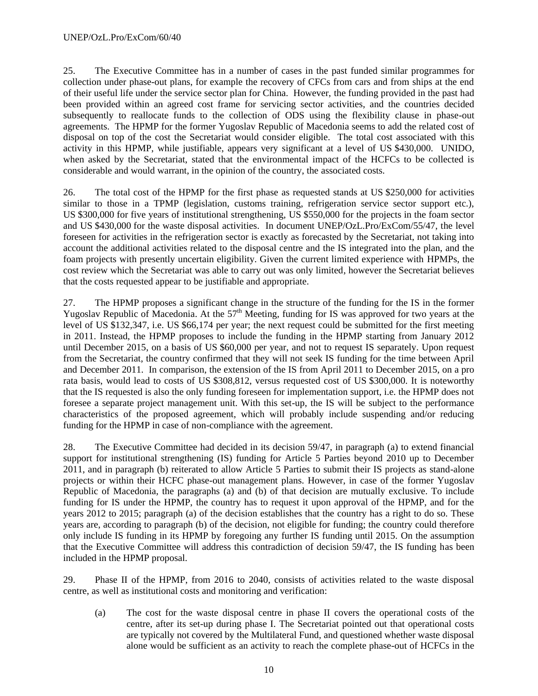25. The Executive Committee has in a number of cases in the past funded similar programmes for collection under phase-out plans, for example the recovery of CFCs from cars and from ships at the end of their useful life under the service sector plan for China. However, the funding provided in the past had been provided within an agreed cost frame for servicing sector activities, and the countries decided subsequently to reallocate funds to the collection of ODS using the flexibility clause in phase-out agreements. The HPMP for the former Yugoslav Republic of Macedonia seems to add the related cost of disposal on top of the cost the Secretariat would consider eligible. The total cost associated with this activity in this HPMP, while justifiable, appears very significant at a level of US \$430,000. UNIDO, when asked by the Secretariat, stated that the environmental impact of the HCFCs to be collected is considerable and would warrant, in the opinion of the country, the associated costs.

26. The total cost of the HPMP for the first phase as requested stands at US \$250,000 for activities similar to those in a TPMP (legislation, customs training, refrigeration service sector support etc.), US \$300,000 for five years of institutional strengthening, US \$550,000 for the projects in the foam sector and US \$430,000 for the waste disposal activities. In document UNEP/OzL.Pro/ExCom/55/47, the level foreseen for activities in the refrigeration sector is exactly as forecasted by the Secretariat, not taking into account the additional activities related to the disposal centre and the IS integrated into the plan, and the foam projects with presently uncertain eligibility. Given the current limited experience with HPMPs, the cost review which the Secretariat was able to carry out was only limited, however the Secretariat believes that the costs requested appear to be justifiable and appropriate.

27. The HPMP proposes a significant change in the structure of the funding for the IS in the former Yugoslav Republic of Macedonia. At the 57<sup>th</sup> Meeting, funding for IS was approved for two years at the level of US \$132,347, i.e. US \$66,174 per year; the next request could be submitted for the first meeting in 2011. Instead, the HPMP proposes to include the funding in the HPMP starting from January 2012 until December 2015, on a basis of US \$60,000 per year, and not to request IS separately. Upon request from the Secretariat, the country confirmed that they will not seek IS funding for the time between April and December 2011. In comparison, the extension of the IS from April 2011 to December 2015, on a pro rata basis, would lead to costs of US \$308,812, versus requested cost of US \$300,000. It is noteworthy that the IS requested is also the only funding foreseen for implementation support, i.e. the HPMP does not foresee a separate project management unit. With this set-up, the IS will be subject to the performance characteristics of the proposed agreement, which will probably include suspending and/or reducing funding for the HPMP in case of non-compliance with the agreement.

28. The Executive Committee had decided in its decision 59/47, in paragraph (a) to extend financial support for institutional strengthening (IS) funding for Article 5 Parties beyond 2010 up to December 2011, and in paragraph (b) reiterated to allow Article 5 Parties to submit their IS projects as stand-alone projects or within their HCFC phase-out management plans. However, in case of the former Yugoslav Republic of Macedonia, the paragraphs (a) and (b) of that decision are mutually exclusive. To include funding for IS under the HPMP, the country has to request it upon approval of the HPMP, and for the years 2012 to 2015; paragraph (a) of the decision establishes that the country has a right to do so. These years are, according to paragraph (b) of the decision, not eligible for funding; the country could therefore only include IS funding in its HPMP by foregoing any further IS funding until 2015. On the assumption that the Executive Committee will address this contradiction of decision 59/47, the IS funding has been included in the HPMP proposal.

29. Phase II of the HPMP, from 2016 to 2040, consists of activities related to the waste disposal centre, as well as institutional costs and monitoring and verification:

(a) The cost for the waste disposal centre in phase II covers the operational costs of the centre, after its set-up during phase I. The Secretariat pointed out that operational costs are typically not covered by the Multilateral Fund, and questioned whether waste disposal alone would be sufficient as an activity to reach the complete phase-out of HCFCs in the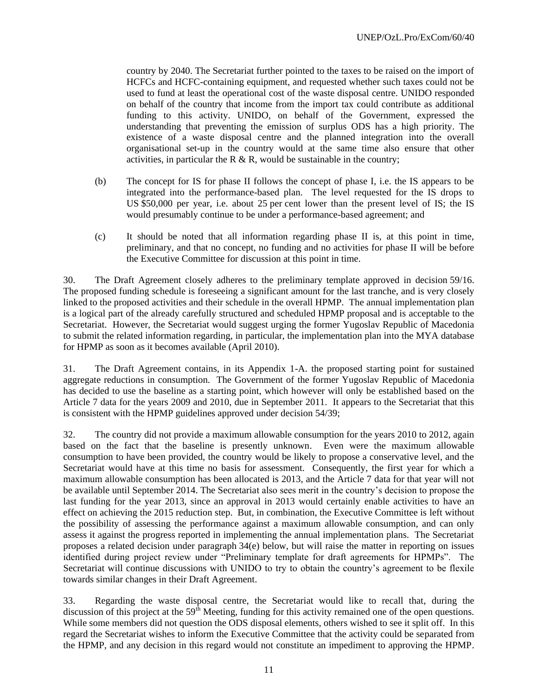country by 2040. The Secretariat further pointed to the taxes to be raised on the import of HCFCs and HCFC-containing equipment, and requested whether such taxes could not be used to fund at least the operational cost of the waste disposal centre. UNIDO responded on behalf of the country that income from the import tax could contribute as additional funding to this activity. UNIDO, on behalf of the Government, expressed the understanding that preventing the emission of surplus ODS has a high priority. The existence of a waste disposal centre and the planned integration into the overall organisational set-up in the country would at the same time also ensure that other activities, in particular the R  $\&$  R, would be sustainable in the country;

- (b) The concept for IS for phase II follows the concept of phase I, i.e. the IS appears to be integrated into the performance-based plan. The level requested for the IS drops to US \$50,000 per year, i.e. about 25 per cent lower than the present level of IS; the IS would presumably continue to be under a performance-based agreement; and
- (c) It should be noted that all information regarding phase II is, at this point in time, preliminary, and that no concept, no funding and no activities for phase II will be before the Executive Committee for discussion at this point in time.

30. The Draft Agreement closely adheres to the preliminary template approved in decision 59/16. The proposed funding schedule is foreseeing a significant amount for the last tranche, and is very closely linked to the proposed activities and their schedule in the overall HPMP. The annual implementation plan is a logical part of the already carefully structured and scheduled HPMP proposal and is acceptable to the Secretariat. However, the Secretariat would suggest urging the former Yugoslav Republic of Macedonia to submit the related information regarding, in particular, the implementation plan into the MYA database for HPMP as soon as it becomes available (April 2010).

31. The Draft Agreement contains, in its Appendix 1-A. the proposed starting point for sustained aggregate reductions in consumption. The Government of the former Yugoslav Republic of Macedonia has decided to use the baseline as a starting point, which however will only be established based on the Article 7 data for the years 2009 and 2010, due in September 2011. It appears to the Secretariat that this is consistent with the HPMP guidelines approved under decision 54/39;

32. The country did not provide a maximum allowable consumption for the years 2010 to 2012, again based on the fact that the baseline is presently unknown. Even were the maximum allowable consumption to have been provided, the country would be likely to propose a conservative level, and the Secretariat would have at this time no basis for assessment. Consequently, the first year for which a maximum allowable consumption has been allocated is 2013, and the Article 7 data for that year will not be available until September 2014. The Secretariat also sees merit in the country's decision to propose the last funding for the year 2013, since an approval in 2013 would certainly enable activities to have an effect on achieving the 2015 reduction step. But, in combination, the Executive Committee is left without the possibility of assessing the performance against a maximum allowable consumption, and can only assess it against the progress reported in implementing the annual implementation plans. The Secretariat proposes a related decision under paragraph [34\(e\)](#page-11-0) below, but will raise the matter in reporting on issues identified during project review under "Preliminary template for draft agreements for HPMPs". The Secretariat will continue discussions with UNIDO to try to obtain the country's agreement to be flexile towards similar changes in their Draft Agreement.

33. Regarding the waste disposal centre, the Secretariat would like to recall that, during the discussion of this project at the  $59<sup>th</sup>$  Meeting, funding for this activity remained one of the open questions. While some members did not question the ODS disposal elements, others wished to see it split off. In this regard the Secretariat wishes to inform the Executive Committee that the activity could be separated from the HPMP, and any decision in this regard would not constitute an impediment to approving the HPMP.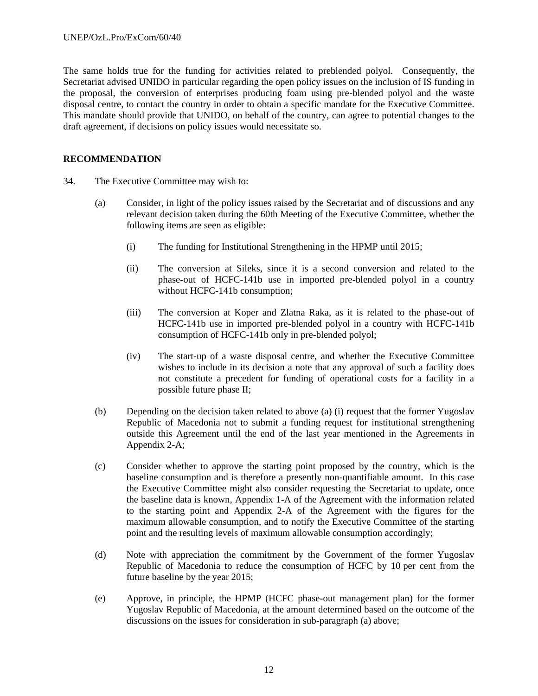The same holds true for the funding for activities related to preblended polyol. Consequently, the Secretariat advised UNIDO in particular regarding the open policy issues on the inclusion of IS funding in the proposal, the conversion of enterprises producing foam using pre-blended polyol and the waste disposal centre, to contact the country in order to obtain a specific mandate for the Executive Committee. This mandate should provide that UNIDO, on behalf of the country, can agree to potential changes to the draft agreement, if decisions on policy issues would necessitate so.

## **RECOMMENDATION**

- <span id="page-11-0"></span>34. The Executive Committee may wish to:
	- (a) Consider, in light of the policy issues raised by the Secretariat and of discussions and any relevant decision taken during the 60th Meeting of the Executive Committee, whether the following items are seen as eligible:
		- (i) The funding for Institutional Strengthening in the HPMP until 2015;
		- (ii) The conversion at Sileks, since it is a second conversion and related to the phase-out of HCFC-141b use in imported pre-blended polyol in a country without HCFC-141b consumption;
		- (iii) The conversion at Koper and Zlatna Raka, as it is related to the phase-out of HCFC-141b use in imported pre-blended polyol in a country with HCFC-141b consumption of HCFC-141b only in pre-blended polyol;
		- (iv) The start-up of a waste disposal centre, and whether the Executive Committee wishes to include in its decision a note that any approval of such a facility does not constitute a precedent for funding of operational costs for a facility in a possible future phase II;
	- (b) Depending on the decision taken related to above (a) (i) request that the former Yugoslav Republic of Macedonia not to submit a funding request for institutional strengthening outside this Agreement until the end of the last year mentioned in the Agreements in Appendix 2-A;
	- (c) Consider whether to approve the starting point proposed by the country, which is the baseline consumption and is therefore a presently non-quantifiable amount. In this case the Executive Committee might also consider requesting the Secretariat to update, once the baseline data is known, Appendix 1-A of the Agreement with the information related to the starting point and Appendix 2-A of the Agreement with the figures for the maximum allowable consumption, and to notify the Executive Committee of the starting point and the resulting levels of maximum allowable consumption accordingly;
	- (d) Note with appreciation the commitment by the Government of the former Yugoslav Republic of Macedonia to reduce the consumption of HCFC by 10 per cent from the future baseline by the year 2015;
	- (e) Approve, in principle, the HPMP (HCFC phase-out management plan) for the former Yugoslav Republic of Macedonia, at the amount determined based on the outcome of the discussions on the issues for consideration in sub-paragraph (a) above;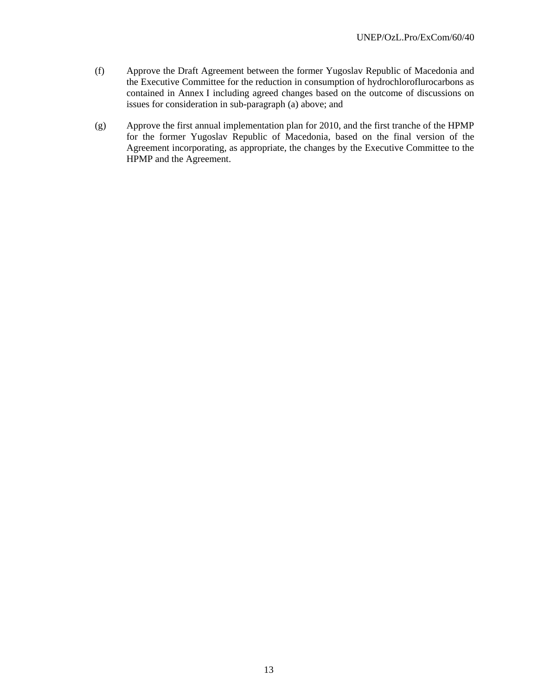- (f) Approve the Draft Agreement between the former Yugoslav Republic of Macedonia and the Executive Committee for the reduction in consumption of hydrochloroflurocarbons as contained in Annex I including agreed changes based on the outcome of discussions on issues for consideration in sub-paragraph (a) above; and
- (g) Approve the first annual implementation plan for 2010, and the first tranche of the HPMP for the former Yugoslav Republic of Macedonia, based on the final version of the Agreement incorporating, as appropriate, the changes by the Executive Committee to the HPMP and the Agreement.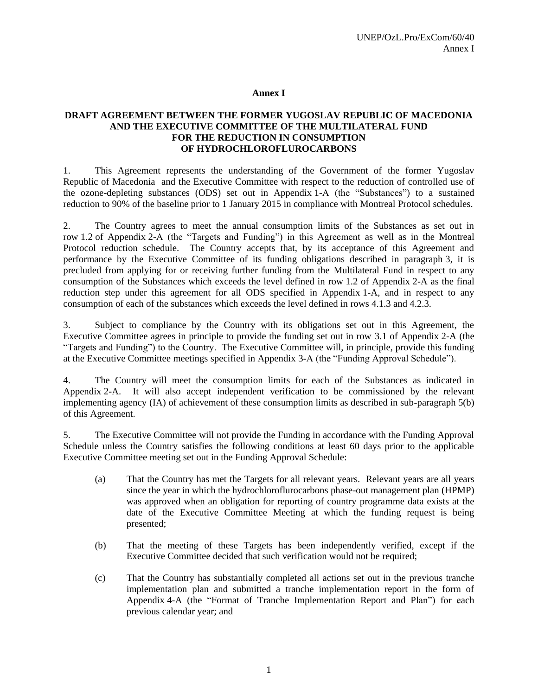#### **Annex I**

#### **DRAFT AGREEMENT BETWEEN THE FORMER YUGOSLAV REPUBLIC OF MACEDONIA AND THE EXECUTIVE COMMITTEE OF THE MULTILATERAL FUND FOR THE REDUCTION IN CONSUMPTION OF HYDROCHLOROFLUROCARBONS**

1. This Agreement represents the understanding of the Government of the former Yugoslav Republic of Macedonia and the Executive Committee with respect to the reduction of controlled use of the ozone-depleting substances (ODS) set out in Appendix 1-A (the "Substances") to a sustained reduction to 90% of the baseline prior to 1 January 2015 in compliance with Montreal Protocol schedules.

2. The Country agrees to meet the annual consumption limits of the Substances as set out in row 1.2 of Appendix 2-A (the "Targets and Funding") in this Agreement as well as in the Montreal Protocol reduction schedule. The Country accepts that, by its acceptance of this Agreement and performance by the Executive Committee of its funding obligations described in paragraph 3, it is precluded from applying for or receiving further funding from the Multilateral Fund in respect to any consumption of the Substances which exceeds the level defined in row 1.2 of Appendix 2-A as the final reduction step under this agreement for all ODS specified in Appendix 1-A, and in respect to any consumption of each of the substances which exceeds the level defined in rows 4.1.3 and 4.2.3.

3. Subject to compliance by the Country with its obligations set out in this Agreement, the Executive Committee agrees in principle to provide the funding set out in row 3.1 of Appendix 2-A (the "Targets and Funding") to the Country. The Executive Committee will, in principle, provide this funding at the Executive Committee meetings specified in Appendix 3-A (the "Funding Approval Schedule").

4. The Country will meet the consumption limits for each of the Substances as indicated in Appendix 2-A. It will also accept independent verification to be commissioned by the relevant implementing agency (IA) of achievement of these consumption limits as described in sub-paragraph 5(b) of this Agreement.

5. The Executive Committee will not provide the Funding in accordance with the Funding Approval Schedule unless the Country satisfies the following conditions at least 60 days prior to the applicable Executive Committee meeting set out in the Funding Approval Schedule:

- (a) That the Country has met the Targets for all relevant years. Relevant years are all years since the year in which the hydrochloroflurocarbons phase-out management plan (HPMP) was approved when an obligation for reporting of country programme data exists at the date of the Executive Committee Meeting at which the funding request is being presented;
- (b) That the meeting of these Targets has been independently verified, except if the Executive Committee decided that such verification would not be required;
- (c) That the Country has substantially completed all actions set out in the previous tranche implementation plan and submitted a tranche implementation report in the form of Appendix 4-A (the "Format of Tranche Implementation Report and Plan") for each previous calendar year; and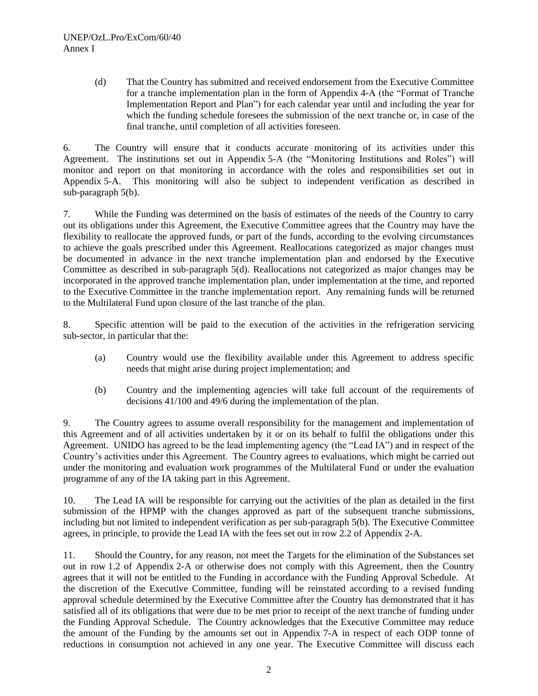(d) That the Country has submitted and received endorsement from the Executive Committee for a tranche implementation plan in the form of Appendix 4-A (the "Format of Tranche Implementation Report and Plan") for each calendar year until and including the year for which the funding schedule foresees the submission of the next tranche or, in case of the final tranche, until completion of all activities foreseen.

6. The Country will ensure that it conducts accurate monitoring of its activities under this Agreement. The institutions set out in Appendix 5-A (the "Monitoring Institutions and Roles") will monitor and report on that monitoring in accordance with the roles and responsibilities set out in Appendix 5-A. This monitoring will also be subject to independent verification as described in sub-paragraph 5(b).

7. While the Funding was determined on the basis of estimates of the needs of the Country to carry out its obligations under this Agreement, the Executive Committee agrees that the Country may have the flexibility to reallocate the approved funds, or part of the funds, according to the evolving circumstances to achieve the goals prescribed under this Agreement. Reallocations categorized as major changes must be documented in advance in the next tranche implementation plan and endorsed by the Executive Committee as described in sub-paragraph 5(d). Reallocations not categorized as major changes may be incorporated in the approved tranche implementation plan, under implementation at the time, and reported to the Executive Committee in the tranche implementation report. Any remaining funds will be returned to the Multilateral Fund upon closure of the last tranche of the plan.

8. Specific attention will be paid to the execution of the activities in the refrigeration servicing sub-sector, in particular that the:

- (a) Country would use the flexibility available under this Agreement to address specific needs that might arise during project implementation; and
- (b) Country and the implementing agencies will take full account of the requirements of decisions 41/100 and 49/6 during the implementation of the plan.

9. The Country agrees to assume overall responsibility for the management and implementation of this Agreement and of all activities undertaken by it or on its behalf to fulfil the obligations under this Agreement. UNIDO has agreed to be the lead implementing agency (the "Lead IA") and in respect of the Country's activities under this Agreement. The Country agrees to evaluations, which might be carried out under the monitoring and evaluation work programmes of the Multilateral Fund or under the evaluation programme of any of the IA taking part in this Agreement.

10. The Lead IA will be responsible for carrying out the activities of the plan as detailed in the first submission of the HPMP with the changes approved as part of the subsequent tranche submissions, including but not limited to independent verification as per sub-paragraph 5(b). The Executive Committee agrees, in principle, to provide the Lead IA with the fees set out in row 2.2 of Appendix 2-A.

11. Should the Country, for any reason, not meet the Targets for the elimination of the Substances set out in row 1.2 of Appendix 2-A or otherwise does not comply with this Agreement, then the Country agrees that it will not be entitled to the Funding in accordance with the Funding Approval Schedule. At the discretion of the Executive Committee, funding will be reinstated according to a revised funding approval schedule determined by the Executive Committee after the Country has demonstrated that it has satisfied all of its obligations that were due to be met prior to receipt of the next tranche of funding under the Funding Approval Schedule. The Country acknowledges that the Executive Committee may reduce the amount of the Funding by the amounts set out in Appendix 7-A in respect of each ODP tonne of reductions in consumption not achieved in any one year. The Executive Committee will discuss each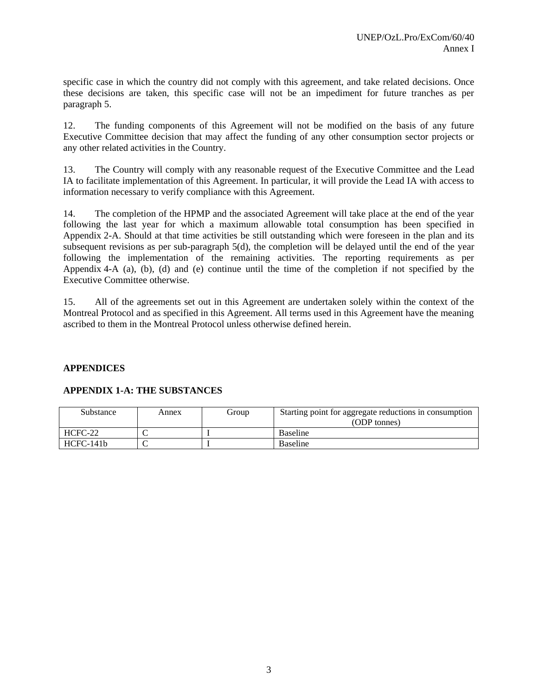specific case in which the country did not comply with this agreement, and take related decisions. Once these decisions are taken, this specific case will not be an impediment for future tranches as per paragraph 5.

12. The funding components of this Agreement will not be modified on the basis of any future Executive Committee decision that may affect the funding of any other consumption sector projects or any other related activities in the Country.

13. The Country will comply with any reasonable request of the Executive Committee and the Lead IA to facilitate implementation of this Agreement. In particular, it will provide the Lead IA with access to information necessary to verify compliance with this Agreement.

14. The completion of the HPMP and the associated Agreement will take place at the end of the year following the last year for which a maximum allowable total consumption has been specified in Appendix 2-A. Should at that time activities be still outstanding which were foreseen in the plan and its subsequent revisions as per sub-paragraph 5(d), the completion will be delayed until the end of the year following the implementation of the remaining activities. The reporting requirements as per Appendix 4-A (a), (b), (d) and (e) continue until the time of the completion if not specified by the Executive Committee otherwise.

15. All of the agreements set out in this Agreement are undertaken solely within the context of the Montreal Protocol and as specified in this Agreement. All terms used in this Agreement have the meaning ascribed to them in the Montreal Protocol unless otherwise defined herein.

## **APPENDICES**

#### **APPENDIX 1-A: THE SUBSTANCES**

| Substance | Annex | Group | Starting point for aggregate reductions in consumption |  |  |
|-----------|-------|-------|--------------------------------------------------------|--|--|
|           |       |       | (ODP tonnes)                                           |  |  |
| HCFC-22   |       |       | Baseline                                               |  |  |
| HCFC-141b |       |       | Baseline                                               |  |  |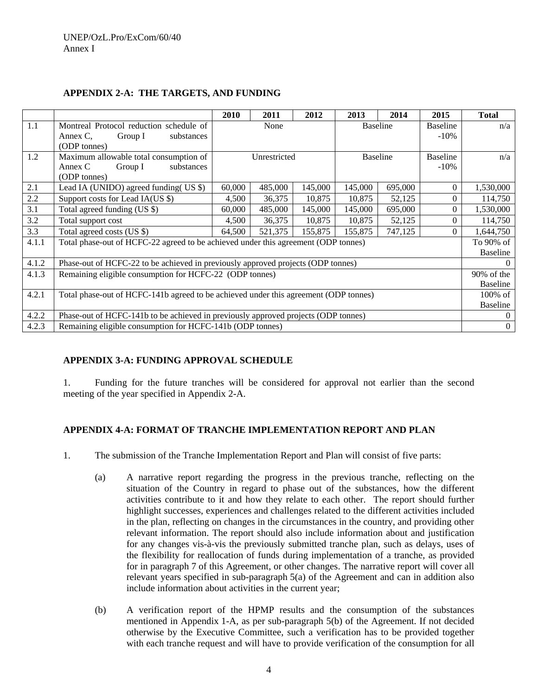|       |                                                                                      | 2010         | 2011    | 2012            | 2013            | 2014            | 2015           | <b>Total</b>    |
|-------|--------------------------------------------------------------------------------------|--------------|---------|-----------------|-----------------|-----------------|----------------|-----------------|
| 1.1   | Montreal Protocol reduction schedule of                                              | None         |         |                 | <b>Baseline</b> |                 | Baseline       | n/a             |
|       | Annex C.<br>Group I<br>substances                                                    |              |         |                 |                 |                 | $-10\%$        |                 |
|       | (ODP tonnes)                                                                         |              |         |                 |                 |                 |                |                 |
| 1.2   | Maximum allowable total consumption of                                               | Unrestricted |         | <b>Baseline</b> |                 | <b>Baseline</b> | n/a            |                 |
|       | Annex C<br>Group I<br>substances                                                     |              |         |                 |                 | $-10%$          |                |                 |
|       | (ODP tonnes)                                                                         |              |         |                 |                 |                 |                |                 |
| 2.1   | Lead IA (UNIDO) agreed funding $(US \$ )                                             | 60,000       | 485,000 | 145,000         | 145,000         | 695,000         | $\overline{0}$ | 1,530,000       |
| 2.2   | Support costs for Lead IA(US \$)                                                     | 4,500        | 36,375  | 10,875          | 10,875          | 52,125          | $\Omega$       | 114,750         |
| 3.1   | Total agreed funding (US \$)                                                         | 60,000       | 485,000 | 145,000         | 145,000         | 695,000         | $\overline{0}$ | 1,530,000       |
| 3.2   | Total support cost                                                                   | 4,500        | 36,375  | 10,875          | 10,875          | 52,125          | $\Omega$       | 114,750         |
| 3.3   | Total agreed costs (US \$)                                                           | 64,500       | 521,375 | 155,875         | 155,875         | 747,125         | $\Omega$       | 1,644,750       |
| 4.1.1 | Total phase-out of HCFC-22 agreed to be achieved under this agreement (ODP tonnes)   |              |         |                 |                 |                 |                | To 90% of       |
|       |                                                                                      |              |         |                 |                 |                 |                | Baseline        |
| 4.1.2 | Phase-out of HCFC-22 to be achieved in previously approved projects (ODP tonnes)     |              |         |                 |                 |                 |                |                 |
| 4.1.3 | Remaining eligible consumption for HCFC-22 (ODP tonnes)                              |              |         |                 |                 |                 |                | 90% of the      |
|       |                                                                                      |              |         |                 |                 |                 |                | <b>Baseline</b> |
| 4.2.1 | Total phase-out of HCFC-141b agreed to be achieved under this agreement (ODP tonnes) |              |         |                 |                 |                 |                |                 |
|       |                                                                                      |              |         |                 |                 |                 |                | <b>Baseline</b> |
| 4.2.2 | Phase-out of HCFC-141b to be achieved in previously approved projects (ODP tonnes)   |              |         |                 |                 |                 |                |                 |
| 4.2.3 | Remaining eligible consumption for HCFC-141b (ODP tonnes)                            |              |         |                 |                 |                 |                | $\overline{0}$  |

## **APPENDIX 2-A: THE TARGETS, AND FUNDING**

## **APPENDIX 3-A: FUNDING APPROVAL SCHEDULE**

1. Funding for the future tranches will be considered for approval not earlier than the second meeting of the year specified in Appendix 2-A.

## **APPENDIX 4-A: FORMAT OF TRANCHE IMPLEMENTATION REPORT AND PLAN**

- 1. The submission of the Tranche Implementation Report and Plan will consist of five parts:
	- (a) A narrative report regarding the progress in the previous tranche, reflecting on the situation of the Country in regard to phase out of the substances, how the different activities contribute to it and how they relate to each other. The report should further highlight successes, experiences and challenges related to the different activities included in the plan, reflecting on changes in the circumstances in the country, and providing other relevant information. The report should also include information about and justification for any changes vis-à-vis the previously submitted tranche plan, such as delays, uses of the flexibility for reallocation of funds during implementation of a tranche, as provided for in paragraph 7 of this Agreement, or other changes. The narrative report will cover all relevant years specified in sub-paragraph 5(a) of the Agreement and can in addition also include information about activities in the current year;
	- (b) A verification report of the HPMP results and the consumption of the substances mentioned in Appendix 1-A, as per sub-paragraph 5(b) of the Agreement. If not decided otherwise by the Executive Committee, such a verification has to be provided together with each tranche request and will have to provide verification of the consumption for all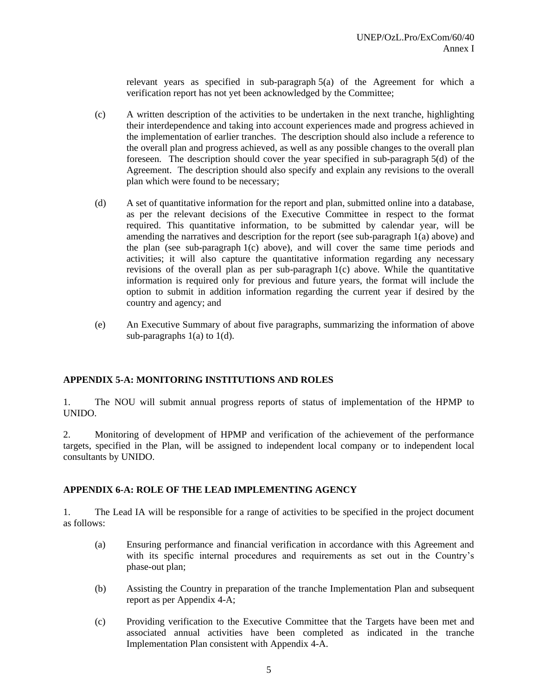relevant years as specified in sub-paragraph 5(a) of the Agreement for which a verification report has not yet been acknowledged by the Committee;

- (c) A written description of the activities to be undertaken in the next tranche, highlighting their interdependence and taking into account experiences made and progress achieved in the implementation of earlier tranches. The description should also include a reference to the overall plan and progress achieved, as well as any possible changes to the overall plan foreseen. The description should cover the year specified in sub-paragraph 5(d) of the Agreement. The description should also specify and explain any revisions to the overall plan which were found to be necessary;
- (d) A set of quantitative information for the report and plan, submitted online into a database, as per the relevant decisions of the Executive Committee in respect to the format required. This quantitative information, to be submitted by calendar year, will be amending the narratives and description for the report (see sub-paragraph 1(a) above) and the plan (see sub-paragraph  $1(c)$  above), and will cover the same time periods and activities; it will also capture the quantitative information regarding any necessary revisions of the overall plan as per sub-paragraph 1(c) above. While the quantitative information is required only for previous and future years, the format will include the option to submit in addition information regarding the current year if desired by the country and agency; and
- (e) An Executive Summary of about five paragraphs, summarizing the information of above sub-paragraphs  $1(a)$  to  $1(d)$ .

# **APPENDIX 5-A: MONITORING INSTITUTIONS AND ROLES**

1. The NOU will submit annual progress reports of status of implementation of the HPMP to UNIDO.

2. Monitoring of development of HPMP and verification of the achievement of the performance targets, specified in the Plan, will be assigned to independent local company or to independent local consultants by UNIDO.

## **APPENDIX 6-A: ROLE OF THE LEAD IMPLEMENTING AGENCY**

1. The Lead IA will be responsible for a range of activities to be specified in the project document as follows:

- (a) Ensuring performance and financial verification in accordance with this Agreement and with its specific internal procedures and requirements as set out in the Country's phase-out plan;
- (b) Assisting the Country in preparation of the tranche Implementation Plan and subsequent report as per Appendix 4-A;
- (c) Providing verification to the Executive Committee that the Targets have been met and associated annual activities have been completed as indicated in the tranche Implementation Plan consistent with Appendix 4-A.